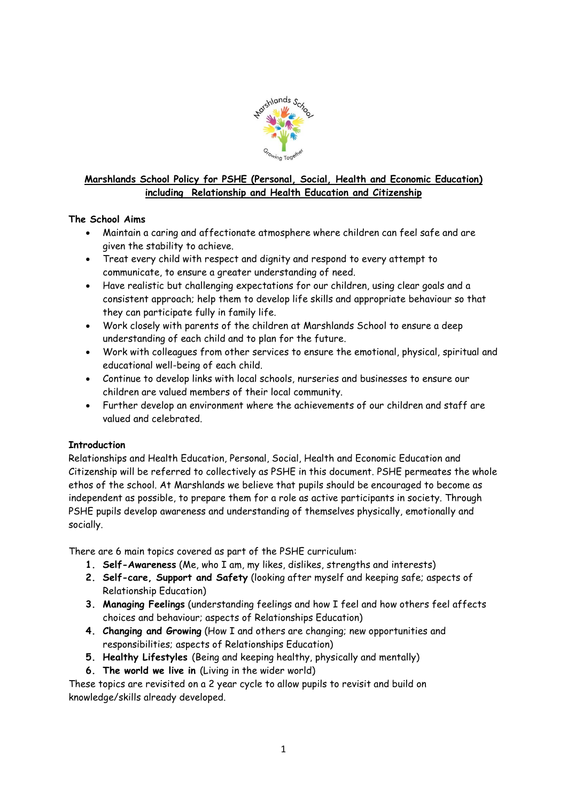

# **Marshlands School Policy for PSHE (Personal, Social, Health and Economic Education) including Relationship and Health Education and Citizenship**

# **The School Aims**

- Maintain a caring and affectionate atmosphere where children can feel safe and are given the stability to achieve.
- Treat every child with respect and dignity and respond to every attempt to communicate, to ensure a greater understanding of need.
- Have realistic but challenging expectations for our children, using clear goals and a consistent approach; help them to develop life skills and appropriate behaviour so that they can participate fully in family life.
- Work closely with parents of the children at Marshlands School to ensure a deep understanding of each child and to plan for the future.
- Work with colleagues from other services to ensure the emotional, physical, spiritual and educational well-being of each child.
- Continue to develop links with local schools, nurseries and businesses to ensure our children are valued members of their local community.
- Further develop an environment where the achievements of our children and staff are valued and celebrated.

# **Introduction**

Relationships and Health Education, Personal, Social, Health and Economic Education and Citizenship will be referred to collectively as PSHE in this document. PSHE permeates the whole ethos of the school. At Marshlands we believe that pupils should be encouraged to become as independent as possible, to prepare them for a role as active participants in society. Through PSHE pupils develop awareness and understanding of themselves physically, emotionally and socially.

There are 6 main topics covered as part of the PSHE curriculum:

- **1. Self-Awareness** (Me, who I am, my likes, dislikes, strengths and interests)
- **2. Self-care, Support and Safety** (looking after myself and keeping safe; aspects of Relationship Education)
- **3. Managing Feelings** (understanding feelings and how I feel and how others feel affects choices and behaviour; aspects of Relationships Education)
- **4. Changing and Growing** (How I and others are changing; new opportunities and responsibilities; aspects of Relationships Education)
- **5. Healthy Lifestyles** (Being and keeping healthy, physically and mentally)
- **6. The world we live in** (Living in the wider world)

These topics are revisited on a 2 year cycle to allow pupils to revisit and build on knowledge/skills already developed.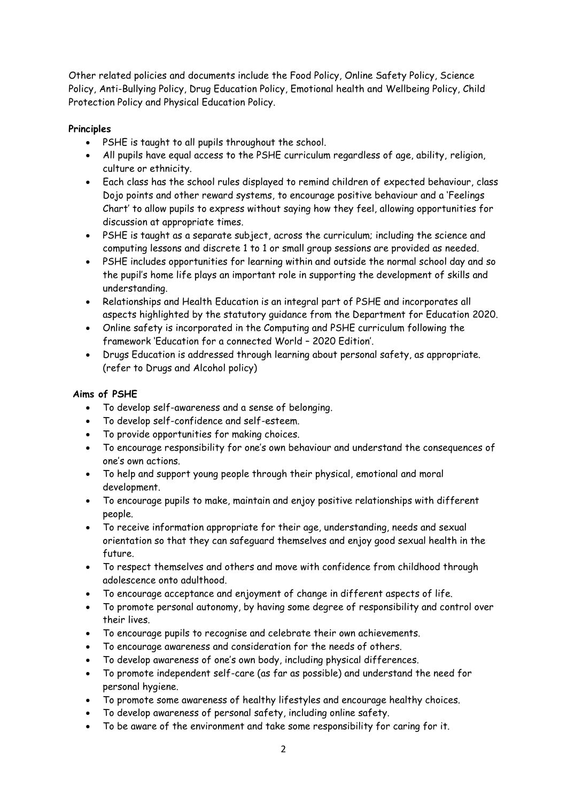Other related policies and documents include the Food Policy, Online Safety Policy, Science Policy, Anti-Bullying Policy, Drug Education Policy, Emotional health and Wellbeing Policy, Child Protection Policy and Physical Education Policy.

# **Principles**

- PSHE is taught to all pupils throughout the school.
- All pupils have equal access to the PSHE curriculum regardless of age, ability, religion, culture or ethnicity.
- Each class has the school rules displayed to remind children of expected behaviour, class Dojo points and other reward systems, to encourage positive behaviour and a 'Feelings Chart' to allow pupils to express without saying how they feel, allowing opportunities for discussion at appropriate times.
- PSHE is taught as a separate subject, across the curriculum; including the science and computing lessons and discrete 1 to 1 or small group sessions are provided as needed.
- PSHE includes opportunities for learning within and outside the normal school day and so the pupil's home life plays an important role in supporting the development of skills and understanding.
- Relationships and Health Education is an integral part of PSHE and incorporates all aspects highlighted by the statutory guidance from the Department for Education 2020.
- Online safety is incorporated in the Computing and PSHE curriculum following the framework 'Education for a connected World – 2020 Edition'.
- Drugs Education is addressed through learning about personal safety, as appropriate. (refer to Drugs and Alcohol policy)

# **Aims of PSHE**

- To develop self-awareness and a sense of belonging.
- To develop self-confidence and self-esteem.
- To provide opportunities for making choices.
- To encourage responsibility for one's own behaviour and understand the consequences of one's own actions.
- To help and support young people through their physical, emotional and moral development.
- To encourage pupils to make, maintain and enjoy positive relationships with different people.
- To receive information appropriate for their age, understanding, needs and sexual orientation so that they can safeguard themselves and enjoy good sexual health in the future.
- To respect themselves and others and move with confidence from childhood through adolescence onto adulthood.
- To encourage acceptance and enjoyment of change in different aspects of life.
- To promote personal autonomy, by having some degree of responsibility and control over their lives.
- To encourage pupils to recognise and celebrate their own achievements.
- To encourage awareness and consideration for the needs of others.
- To develop awareness of one's own body, including physical differences.
- To promote independent self-care (as far as possible) and understand the need for personal hygiene.
- To promote some awareness of healthy lifestyles and encourage healthy choices.
- To develop awareness of personal safety, including online safety.
- To be aware of the environment and take some responsibility for caring for it.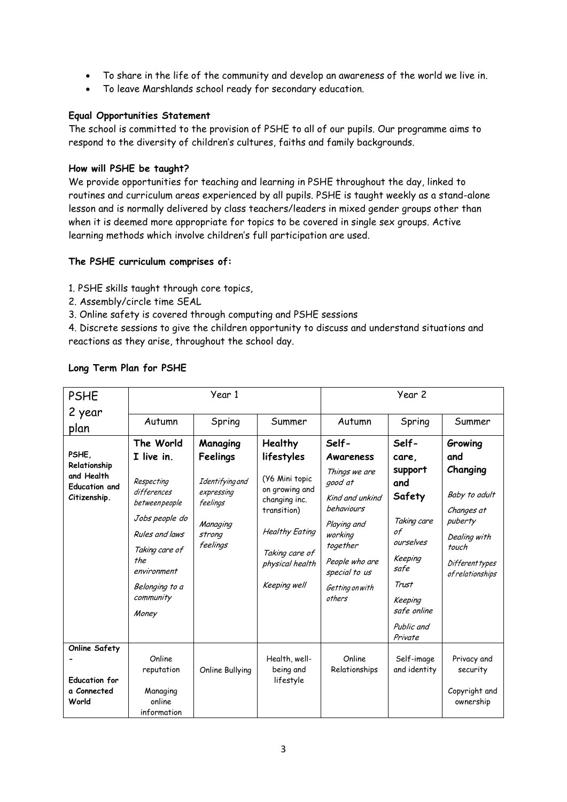- To share in the life of the community and develop an awareness of the world we live in.
- To leave Marshlands school ready for secondary education.

### **Equal Opportunities Statement**

The school is committed to the provision of PSHE to all of our pupils. Our programme aims to respond to the diversity of children's cultures, faiths and family backgrounds.

#### **How will PSHE be taught?**

We provide opportunities for teaching and learning in PSHE throughout the day, linked to routines and curriculum areas experienced by all pupils. PSHE is taught weekly as a stand-alone lesson and is normally delivered by class teachers/leaders in mixed gender groups other than when it is deemed more appropriate for topics to be covered in single sex groups. Active learning methods which involve children's full participation are used.

### **The PSHE curriculum comprises of:**

1. PSHE skills taught through core topics,

- 2. Assembly/circle time SEAL
- 3. Online safety is covered through computing and PSHE sessions

4. Discrete sessions to give the children opportunity to discuss and understand situations and reactions as they arise, throughout the school day.

| <b>PSHE</b>                                                        | Year 1                                                                                                                                                         |                                                                             |                                                                                                                                                | Year 2                                                                                                                                                          |                                                                                                                  |                                                                                                                    |
|--------------------------------------------------------------------|----------------------------------------------------------------------------------------------------------------------------------------------------------------|-----------------------------------------------------------------------------|------------------------------------------------------------------------------------------------------------------------------------------------|-----------------------------------------------------------------------------------------------------------------------------------------------------------------|------------------------------------------------------------------------------------------------------------------|--------------------------------------------------------------------------------------------------------------------|
| 2 year                                                             |                                                                                                                                                                |                                                                             |                                                                                                                                                |                                                                                                                                                                 |                                                                                                                  |                                                                                                                    |
| plan                                                               | Autumn                                                                                                                                                         | Spring                                                                      | Summer                                                                                                                                         | Autumn                                                                                                                                                          | Spring                                                                                                           | Summer                                                                                                             |
|                                                                    | The World                                                                                                                                                      | Managing                                                                    | <b>Healthy</b>                                                                                                                                 | Self-                                                                                                                                                           | Self-                                                                                                            | Growing                                                                                                            |
| PSHE.                                                              | I live in                                                                                                                                                      | Feelings                                                                    | lifestyles                                                                                                                                     | Awareness                                                                                                                                                       | care,                                                                                                            | and                                                                                                                |
| Relationship<br>and Health<br><b>Education and</b><br>Citizenship. | Respecting<br>differences<br>betweenpeople<br>Jobs people do<br>Rules and laws<br>Taking care of<br>the<br>environment<br>Belonging to a<br>community<br>Money | Identifying and<br>expressing<br>feelings<br>Managing<br>strong<br>feelings | (Y6 Mini topic<br>on growing and<br>changing inc.<br>transition)<br><b>Healthy Eating</b><br>Taking care of<br>physical health<br>Keeping well | Things we are<br>good at<br>Kind and unkind<br>behaviours<br>Playing and<br>working<br>together<br>People who are<br>special to us<br>Getting on with<br>others | support<br>and<br>Safety<br>Taking care<br>of<br>ourselves<br>Keeping<br>safe<br>Trust<br>Keeping<br>safe online | Changing<br>Baby to adult<br>Changes at<br>puberty<br>Dealing with<br>touch<br>Different types<br>of relationships |
|                                                                    |                                                                                                                                                                |                                                                             |                                                                                                                                                |                                                                                                                                                                 | Public and<br>Private                                                                                            |                                                                                                                    |
| <b>Online Safety</b>                                               |                                                                                                                                                                |                                                                             |                                                                                                                                                |                                                                                                                                                                 |                                                                                                                  |                                                                                                                    |
|                                                                    | Online<br>reputation                                                                                                                                           |                                                                             | Health, well-<br>being and                                                                                                                     | Online<br>Relationships                                                                                                                                         | Self-image<br>and identity                                                                                       | Privacy and<br>security                                                                                            |
| <b>Education for</b>                                               |                                                                                                                                                                | Online Bullying                                                             | lifestyle                                                                                                                                      |                                                                                                                                                                 |                                                                                                                  |                                                                                                                    |
| a Connected                                                        | Managing                                                                                                                                                       |                                                                             |                                                                                                                                                |                                                                                                                                                                 |                                                                                                                  | Copyright and                                                                                                      |
| World                                                              | online                                                                                                                                                         |                                                                             |                                                                                                                                                |                                                                                                                                                                 |                                                                                                                  | ownership                                                                                                          |
|                                                                    | information                                                                                                                                                    |                                                                             |                                                                                                                                                |                                                                                                                                                                 |                                                                                                                  |                                                                                                                    |

## **Long Term Plan for PSHE**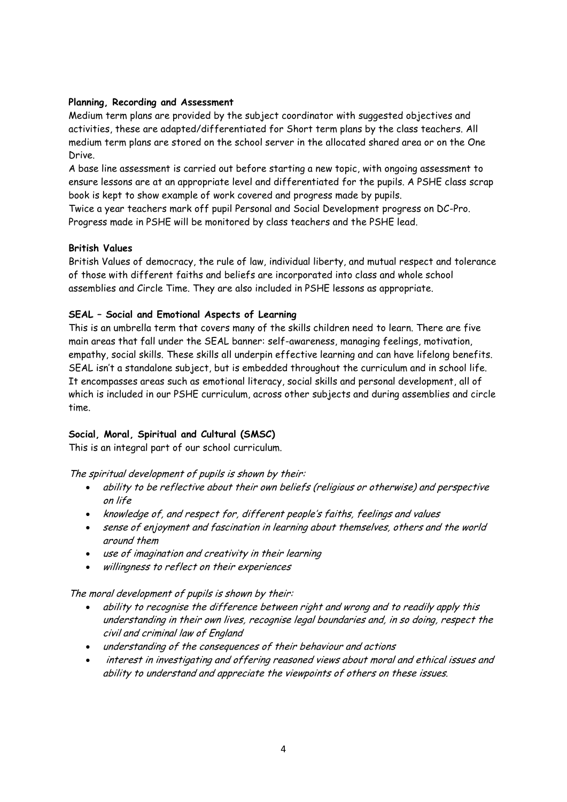## **Planning, Recording and Assessment**

Medium term plans are provided by the subject coordinator with suggested objectives and activities, these are adapted/differentiated for Short term plans by the class teachers. All medium term plans are stored on the school server in the allocated shared area or on the One Drive.

A base line assessment is carried out before starting a new topic, with ongoing assessment to ensure lessons are at an appropriate level and differentiated for the pupils. A PSHE class scrap book is kept to show example of work covered and progress made by pupils.

Twice a year teachers mark off pupil Personal and Social Development progress on DC-Pro. Progress made in PSHE will be monitored by class teachers and the PSHE lead.

### **British Values**

British Values of democracy, the rule of law, individual liberty, and mutual respect and tolerance of those with different faiths and beliefs are incorporated into class and whole school assemblies and Circle Time. They are also included in PSHE lessons as appropriate.

### **SEAL – Social and Emotional Aspects of Learning**

This is an umbrella term that covers many of the skills children need to learn. There are five main areas that fall under the SEAL banner: self-awareness, managing feelings, motivation, empathy, social skills. These skills all underpin effective learning and can have lifelong benefits. SEAL isn't a standalone subject, but is embedded throughout the curriculum and in school life. It encompasses areas such as emotional literacy, social skills and personal development, all of which is included in our PSHE curriculum, across other subjects and during assemblies and circle time.

## **Social, Moral, Spiritual and Cultural (SMSC)**

This is an integral part of our school curriculum.

The spiritual development of pupils is shown by their:

- ability to be reflective about their own beliefs (religious or otherwise) and perspective on life
- knowledge of, and respect for, different people's faiths, feelings and values
- sense of enjoyment and fascination in learning about themselves, others and the world around them
- use of imagination and creativity in their learning
- $\bullet$  willingness to reflect on their experiences

The moral development of pupils is shown by their:

- ability to recognise the difference between right and wrong and to readily apply this understanding in their own lives, recognise legal boundaries and, in so doing, respect the civil and criminal law of England
- understanding of the consequences of their behaviour and actions
- interest in investigating and offering reasoned views about moral and ethical issues and ability to understand and appreciate the viewpoints of others on these issues.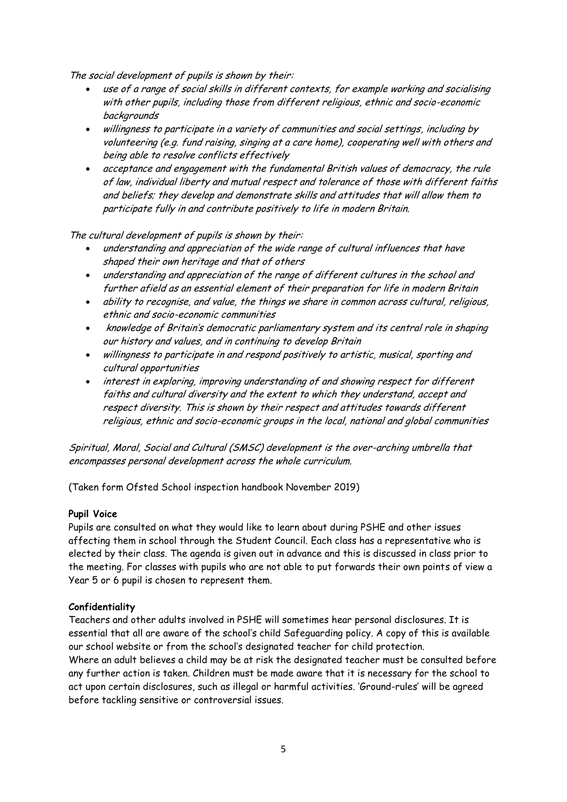The social development of pupils is shown by their:

- use of a range of social skills in different contexts, for example working and socialising with other pupils, including those from different religious, ethnic and socio-economic backgrounds
- willingness to participate in a variety of communities and social settings, including by volunteering (e.g. fund raising, singing at a care home), cooperating well with others and being able to resolve conflicts effectively
- acceptance and engagement with the fundamental British values of democracy, the rule of law, individual liberty and mutual respect and tolerance of those with different faiths and beliefs; they develop and demonstrate skills and attitudes that will allow them to participate fully in and contribute positively to life in modern Britain.

The cultural development of pupils is shown by their:

- understanding and appreciation of the wide range of cultural influences that have shaped their own heritage and that of others
- understanding and appreciation of the range of different cultures in the school and further afield as an essential element of their preparation for life in modern Britain
- ability to recognise, and value, the things we share in common across cultural, religious, ethnic and socio-economic communities
- knowledge of Britain's democratic parliamentary system and its central role in shaping our history and values, and in continuing to develop Britain
- willingness to participate in and respond positively to artistic, musical, sporting and cultural opportunities
- interest in exploring, improving understanding of and showing respect for different faiths and cultural diversity and the extent to which they understand, accept and respect diversity. This is shown by their respect and attitudes towards different religious, ethnic and socio-economic groups in the local, national and global communities

Spiritual, Moral, Social and Cultural (SMSC) development is the over-arching umbrella that encompasses personal development across the whole curriculum.

(Taken form Ofsted School inspection handbook November 2019)

#### **Pupil Voice**

Pupils are consulted on what they would like to learn about during PSHE and other issues affecting them in school through the Student Council. Each class has a representative who is elected by their class. The agenda is given out in advance and this is discussed in class prior to the meeting. For classes with pupils who are not able to put forwards their own points of view a Year 5 or 6 pupil is chosen to represent them.

#### **Confidentiality**

Teachers and other adults involved in PSHE will sometimes hear personal disclosures. It is essential that all are aware of the school's child Safeguarding policy. A copy of this is available our school website or from the school's designated teacher for child protection. Where an adult believes a child may be at risk the designated teacher must be consulted before any further action is taken. Children must be made aware that it is necessary for the school to act upon certain disclosures, such as illegal or harmful activities. 'Ground-rules' will be agreed before tackling sensitive or controversial issues.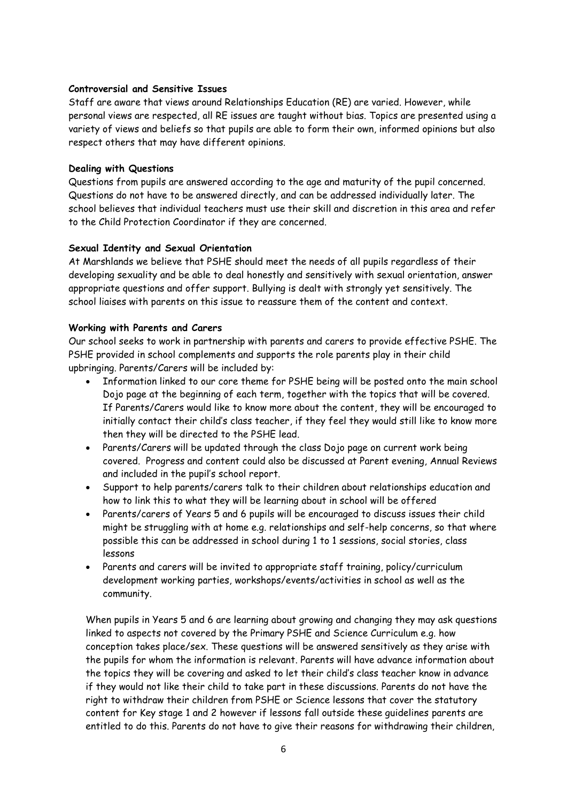#### **Controversial and Sensitive Issues**

Staff are aware that views around Relationships Education (RE) are varied. However, while personal views are respected, all RE issues are taught without bias. Topics are presented using a variety of views and beliefs so that pupils are able to form their own, informed opinions but also respect others that may have different opinions.

## **Dealing with Questions**

Questions from pupils are answered according to the age and maturity of the pupil concerned. Questions do not have to be answered directly, and can be addressed individually later. The school believes that individual teachers must use their skill and discretion in this area and refer to the Child Protection Coordinator if they are concerned.

## **Sexual Identity and Sexual Orientation**

At Marshlands we believe that PSHE should meet the needs of all pupils regardless of their developing sexuality and be able to deal honestly and sensitively with sexual orientation, answer appropriate questions and offer support. Bullying is dealt with strongly yet sensitively. The school liaises with parents on this issue to reassure them of the content and context.

### **Working with Parents and Carers**

Our school seeks to work in partnership with parents and carers to provide effective PSHE. The PSHE provided in school complements and supports the role parents play in their child upbringing. Parents/Carers will be included by:

- Information linked to our core theme for PSHE being will be posted onto the main school Dojo page at the beginning of each term, together with the topics that will be covered. If Parents/Carers would like to know more about the content, they will be encouraged to initially contact their child's class teacher, if they feel they would still like to know more then they will be directed to the PSHE lead.
- Parents/Carers will be updated through the class Dojo page on current work being covered. Progress and content could also be discussed at Parent evening, Annual Reviews and included in the pupil's school report.
- Support to help parents/carers talk to their children about relationships education and how to link this to what they will be learning about in school will be offered
- Parents/carers of Years 5 and 6 pupils will be encouraged to discuss issues their child might be struggling with at home e.g. relationships and self-help concerns, so that where possible this can be addressed in school during 1 to 1 sessions, social stories, class lessons
- Parents and carers will be invited to appropriate staff training, policy/curriculum development working parties, workshops/events/activities in school as well as the community.

When pupils in Years 5 and 6 are learning about growing and changing they may ask questions linked to aspects not covered by the Primary PSHE and Science Curriculum e.g. how conception takes place/sex. These questions will be answered sensitively as they arise with the pupils for whom the information is relevant. Parents will have advance information about the topics they will be covering and asked to let their child's class teacher know in advance if they would not like their child to take part in these discussions. Parents do not have the right to withdraw their children from PSHE or Science lessons that cover the statutory content for Key stage 1 and 2 however if lessons fall outside these guidelines parents are entitled to do this. Parents do not have to give their reasons for withdrawing their children,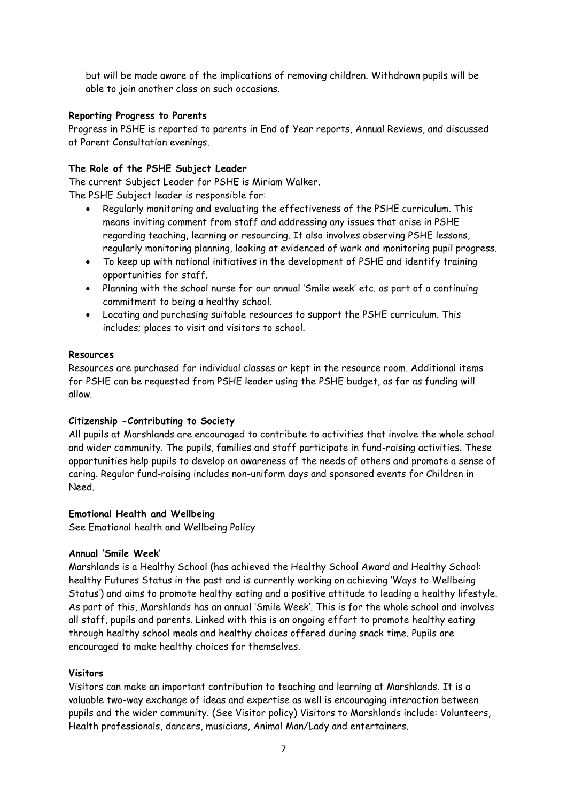but will be made aware of the implications of removing children. Withdrawn pupils will be able to join another class on such occasions.

### **Reporting Progress to Parents**

Progress in PSHE is reported to parents in End of Year reports, Annual Reviews, and discussed at Parent Consultation evenings.

## **The Role of the PSHE Subject Leader**

The current Subject Leader for PSHE is Miriam Walker.

The PSHE Subject leader is responsible for:

- Regularly monitoring and evaluating the effectiveness of the PSHE curriculum. This means inviting comment from staff and addressing any issues that arise in PSHE regarding teaching, learning or resourcing. It also involves observing PSHE lessons, regularly monitoring planning, looking at evidenced of work and monitoring pupil progress.
- To keep up with national initiatives in the development of PSHE and identify training opportunities for staff.
- Planning with the school nurse for our annual 'Smile week' etc. as part of a continuing commitment to being a healthy school.
- Locating and purchasing suitable resources to support the PSHE curriculum. This includes; places to visit and visitors to school.

#### **Resources**

Resources are purchased for individual classes or kept in the resource room. Additional items for PSHE can be requested from PSHE leader using the PSHE budget, as far as funding will allow.

## **Citizenship -Contributing to Society**

All pupils at Marshlands are encouraged to contribute to activities that involve the whole school and wider community. The pupils, families and staff participate in fund-raising activities. These opportunities help pupils to develop an awareness of the needs of others and promote a sense of caring. Regular fund-raising includes non-uniform days and sponsored events for Children in Need.

#### **Emotional Health and Wellbeing**

See Emotional health and Wellbeing Policy

## **Annual 'Smile Week'**

Marshlands is a Healthy School (has achieved the Healthy School Award and Healthy School: healthy Futures Status in the past and is currently working on achieving 'Ways to Wellbeing Status') and aims to promote healthy eating and a positive attitude to leading a healthy lifestyle. As part of this, Marshlands has an annual 'Smile Week'. This is for the whole school and involves all staff, pupils and parents. Linked with this is an ongoing effort to promote healthy eating through healthy school meals and healthy choices offered during snack time. Pupils are encouraged to make healthy choices for themselves.

## **Visitors**

Visitors can make an important contribution to teaching and learning at Marshlands. It is a valuable two-way exchange of ideas and expertise as well is encouraging interaction between pupils and the wider community. (See Visitor policy) Visitors to Marshlands include: Volunteers, Health professionals, dancers, musicians, Animal Man/Lady and entertainers.